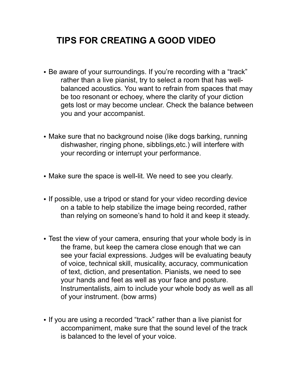## **TIPS FOR CREATING A GOOD VIDEO**

- Be aware of your surroundings. If you're recording with a "track" rather than a live pianist, try to select a room that has wellbalanced acoustics. You want to refrain from spaces that may be too resonant or echoey, where the clarity of your diction gets lost or may become unclear. Check the balance between you and your accompanist.
- Make sure that no background noise (like dogs barking, running dishwasher, ringing phone, sibblings,etc.) will interfere with your recording or interrupt your performance.
- Make sure the space is well-lit. We need to see you clearly.
- If possible, use a tripod or stand for your video recording device on a table to help stabilize the image being recorded, rather than relying on someone's hand to hold it and keep it steady.
- Test the view of your camera, ensuring that your whole body is in the frame, but keep the camera close enough that we can see your facial expressions. Judges will be evaluating beauty of voice, technical skill, musicality, accuracy, communication of text, diction, and presentation. Pianists, we need to see your hands and feet as well as your face and posture. Instrumentalists, aim to include your whole body as well as all of your instrument. (bow arms)
- If you are using a recorded "track" rather than a live pianist for accompaniment, make sure that the sound level of the track is balanced to the level of your voice.